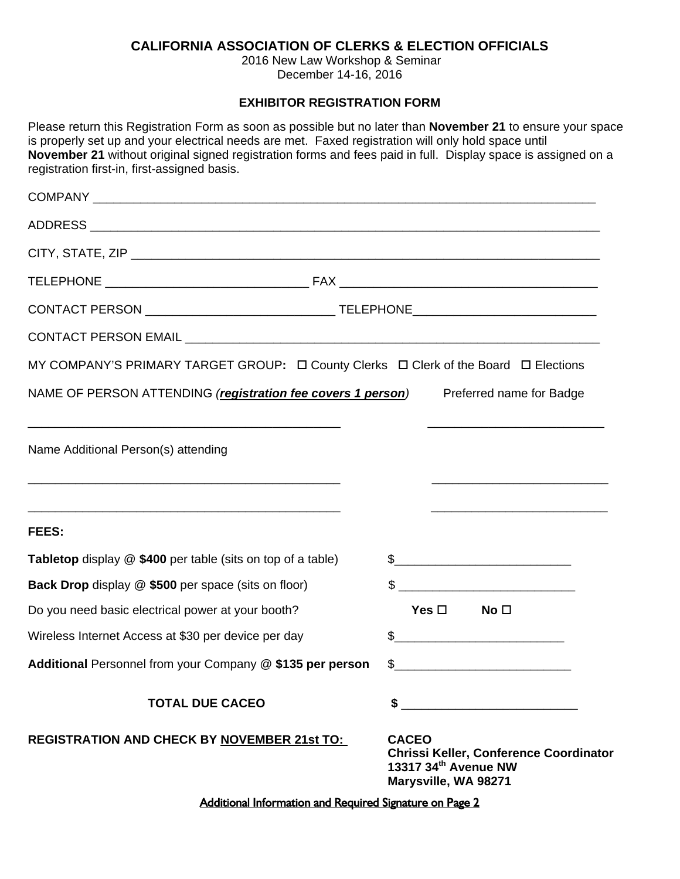## **CALIFORNIA ASSOCIATION OF CLERKS & ELECTION OFFICIALS**

2016 New Law Workshop & Seminar December 14-16, 2016

## **EXHIBITOR REGISTRATION FORM**

Please return this Registration Form as soon as possible but no later than **November 21** to ensure your space is properly set up and your electrical needs are met. Faxed registration will only hold space until **November 21** without original signed registration forms and fees paid in full. Display space is assigned on a registration first-in, first-assigned basis.

| MY COMPANY'S PRIMARY TARGET GROUP: $\Box$ County Clerks $\Box$ Clerk of the Board $\Box$ Elections |                                                                                                                        |  |  |
|----------------------------------------------------------------------------------------------------|------------------------------------------------------------------------------------------------------------------------|--|--|
| NAME OF PERSON ATTENDING (registration fee covers 1 person)                                        | Preferred name for Badge                                                                                               |  |  |
| Name Additional Person(s) attending                                                                | <u> 1989 - Johann John Stone, market fan it ferskearre fan it ferskearre fan it ferskearre fan it ferskearre fan i</u> |  |  |
| FEES:                                                                                              |                                                                                                                        |  |  |
| <b>Tabletop</b> display @ \$400 per table (sits on top of a table)                                 |                                                                                                                        |  |  |
| Back Drop display @ \$500 per space (sits on floor)                                                |                                                                                                                        |  |  |
| Do you need basic electrical power at your booth?                                                  | Yes $\square$<br>No <sub>1</sub>                                                                                       |  |  |
| Wireless Internet Access at \$30 per device per day                                                | \$                                                                                                                     |  |  |
| Additional Personnel from your Company @ \$135 per person                                          | \$                                                                                                                     |  |  |
| <b>TOTAL DUE CACEO</b>                                                                             | S                                                                                                                      |  |  |
| <b>REGISTRATION AND CHECK BY NOVEMBER 21st TO:</b>                                                 | <b>CACEO</b><br>Chrissi Keller, Conference Coordinator<br>13317 34th Avenue NW<br>Marysville, WA 98271                 |  |  |
|                                                                                                    |                                                                                                                        |  |  |

Additional Information and Required Signature on Page 2